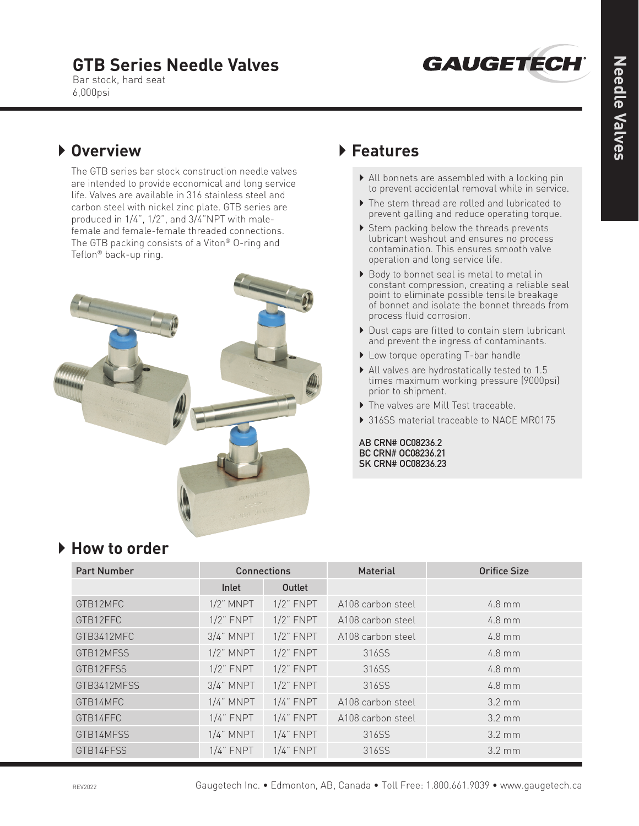# **GTB Series Needle Valves**



Bar stock, hard seat 6,000psi

## } **Overview**

 The GTB series bar stock construction needle valves are intended to provide economical and long service life. Valves are available in 316 stainless steel and carbon steel with nickel zinc plate. GTB series are produced in 1/4", 1/2", and 3/4"NPT with malefemale and female-female threaded connections. The GTB packing consists of a Viton® O-ring and Teflon® back-up ring.



### } **Features**

- } All bonnets are assembled with a locking pin to prevent accidental removal while in service.
- } The stem thread are rolled and lubricated to prevent galling and reduce operating torque.
- ▶ Stem packing below the threads prevents lubricant washout and ensures no process contamination. This ensures smooth valve operation and long service life.
- ▶ Body to bonnet seal is metal to metal in constant compression, creating a reliable seal point to eliminate possible tensile breakage of bonnet and isolate the bonnet threads from process fluid corrosion.
- ▶ Dust caps are fitted to contain stem lubricant and prevent the ingress of contaminants.
- ▶ Low torque operating T-bar handle
- } All valves are hydrostatically tested to 1.5 times maximum working pressure (9000psi) prior to shipment.
- } The valves are Mill Test traceable.
- ▶ 316SS material traceable to NACE MR0175

**AB CRN# OC08236.2 BC CRN# OC08236.21 SK CRN# OC08236.23**

| <b>Part Number</b> | <b>Connections</b> |                | <b>Material</b>   | <b>Orifice Size</b> |
|--------------------|--------------------|----------------|-------------------|---------------------|
|                    | Inlet              | Outlet         |                   |                     |
| GTB12MFC           | $1/2$ " MNPT       | $1/2$ " FNPT   | A108 carbon steel | $4.8$ mm            |
| GTB12FFC           | $1/2$ " FNPT       | $1/2$ " $FNPT$ | A108 carbon steel | $4.8$ mm            |
| GTB3412MFC         | $3/4$ " MNPT       | $1/2$ " $FNPT$ | A108 carbon steel | $4.8$ mm            |
| GTB12MFSS          | $1/2$ " MNPT       | $1/2$ " $FNPT$ | 316SS             | $4.8$ mm            |
| GTB12FFSS          | $1/2$ " FNPT       | $1/2$ " FNPT   | 316SS             | $4.8$ mm            |
| GTB3412MFSS        | $3/4$ " MNPT       | $1/2$ " FNPT   | 316SS             | $4.8$ mm            |
| GTB14MFC           | $1/4$ " MNPT       | $1/4$ " FNPT   | A108 carbon steel | $3.2 \text{ mm}$    |
| GTB14FFC           | $1/4$ " $FNPT$     | $1/4$ " $FNPT$ | A108 carbon steel | $3.2 \text{ mm}$    |
| GTB14MFSS          | $1/4$ " MNPT       | $1/4$ " FNPT   | 316SS             | $3.2 \text{ mm}$    |
| GTB14FFSS          | $1/4$ " $FNPT$     | $1/4$ " FNPT   | 316SS             | $3.2 \text{ mm}$    |

## } **How to order**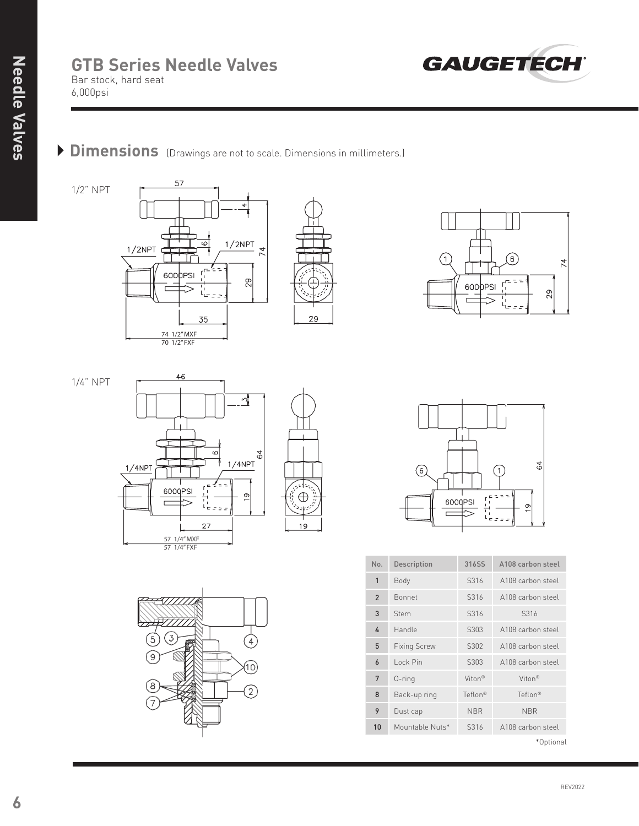#### **GTB Series Needle Valves** Bar stock, hard seat 6,000psi



# **Dimensions** (Drawings are not to scale. Dimensions in millimeters.)

1/2" NPT





1/4" NPT





29





| No.            | <b>Description</b>  | 31655              | A108 carbon steel   |
|----------------|---------------------|--------------------|---------------------|
| $\mathbf{1}$   | Body                | S316               | A108 carbon steel   |
| $\overline{2}$ | <b>Bonnet</b>       | S316               | A108 carbon steel   |
| 3              | Stem                | S316               | S316                |
| 4              | Handle              | S303               | A108 carbon steel   |
| 5              | <b>Fixing Screw</b> | S302               | A108 carbon steel   |
| 6              | Lock Pin            | S303               | A108 carbon steel   |
| 7              | $0$ -ring           | Viton <sup>®</sup> | $V$ iton®           |
| 8              | Back-up ring        | Teflon®            | Teflon <sup>®</sup> |
| 9              | Dust cap            | <b>NBR</b>         | <b>NBR</b>          |
| 10             | Mountable Nuts*     | S316               | A108 carbon steel   |

\*Optional